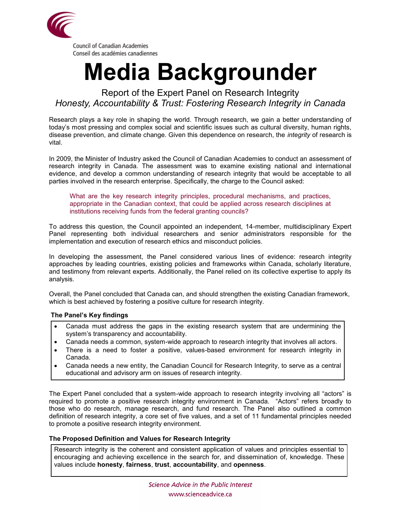

## **Media Backgrounder**

Report of the Expert Panel on Research Integrity *Honesty, Accountability & Trust: Fostering Research Integrity in Canada*

Research plays a key role in shaping the world. Through research, we gain a better understanding of today's most pressing and complex social and scientific issues such as cultural diversity, human rights, disease prevention, and climate change. Given this dependence on research, the *integrity* of research is vital.

In 2009, the Minister of Industry asked the Council of Canadian Academies to conduct an assessment of research integrity in Canada. The assessment was to examine existing national and international evidence, and develop a common understanding of research integrity that would be acceptable to all parties involved in the research enterprise. Specifically, the charge to the Council asked:

What are the key research integrity principles, procedural mechanisms, and practices, appropriate in the Canadian context, that could be applied across research disciplines at institutions receiving funds from the federal granting councils?

To address this question, the Council appointed an independent, 14-member, multidisciplinary Expert Panel representing both individual researchers and senior administrators responsible for the implementation and execution of research ethics and misconduct policies.

In developing the assessment, the Panel considered various lines of evidence: research integrity approaches by leading countries, existing policies and frameworks within Canada, scholarly literature, and testimony from relevant experts. Additionally, the Panel relied on its collective expertise to apply its analysis.

Overall, the Panel concluded that Canada can, and should strengthen the existing Canadian framework, which is best achieved by fostering a positive culture for research integrity.

## **The Panel's Key findings**

- Canada must address the gaps in the existing research system that are undermining the system's transparency and accountability.
- Canada needs a common, system-wide approach to research integrity that involves all actors.
- There is a need to foster a positive, values-based environment for research integrity in Canada.
- Canada needs a new entity, the Canadian Council for Research Integrity, to serve as a central educational and advisory arm on issues of research integrity.

The Expert Panel concluded that a system-wide approach to research integrity involving all "actors" is required to promote a positive research integrity environment in Canada. "Actors" refers broadly to those who do research, manage research, and fund research. The Panel also outlined a common definition of research integrity, a core set of five values, and a set of 11 fundamental principles needed to promote a positive research integrity environment.

## **The Proposed Definition and Values for Research Integrity**

Research integrity is the coherent and consistent application of values and principles essential to encouraging and achieving excellence in the search for, and dissemination of, knowledge. These values include **honesty**, **fairness**, **trust**, **accountability**, and **openness**.